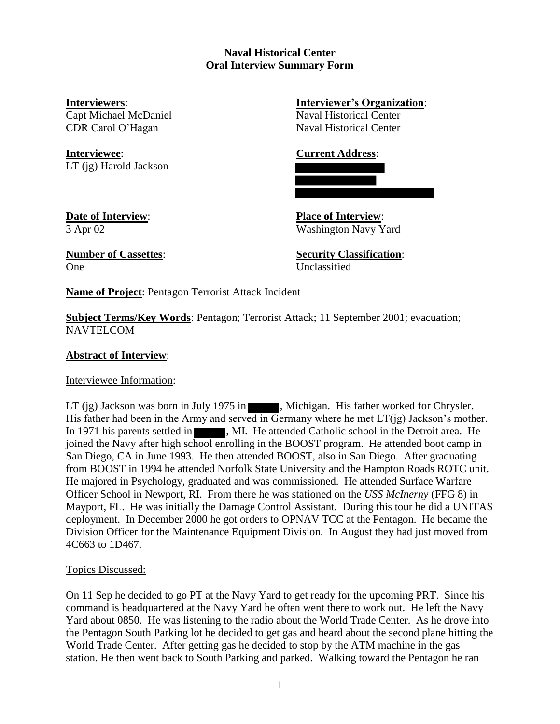# **Naval Historical Center Oral Interview Summary Form**

**Interviewee**: **Current Address**: LT (jg) Harold Jackson

**Interviewers**: **Interviewer's Organization**: Capt Michael McDaniel Naval Historical Center CDR Carol O'Hagan Naval Historical Center

**Date of Interview**: **Place of Interview**: 3 Apr 02 Washington Navy Yard

One Unclassified

**Number of Cassettes**: **Security Classification**:

**Name of Project**: Pentagon Terrorist Attack Incident

**Subject Terms/Key Words**: Pentagon; Terrorist Attack; 11 September 2001; evacuation; NAVTELCOM

# **Abstract of Interview**:

Interviewee Information:

LT (jg) Jackson was born in July 1975 in , Michigan. His father worked for Chrysler. His father had been in the Army and served in Germany where he met  $LT(jg)$  Jackson's mother. In 1971 his parents settled in , MI. He attended Catholic school in the Detroit area. He joined the Navy after high school enrolling in the BOOST program. He attended boot camp in San Diego, CA in June 1993. He then attended BOOST, also in San Diego. After graduating from BOOST in 1994 he attended Norfolk State University and the Hampton Roads ROTC unit. He majored in Psychology, graduated and was commissioned. He attended Surface Warfare Officer School in Newport, RI. From there he was stationed on the *USS McInerny* (FFG 8) in Mayport, FL. He was initially the Damage Control Assistant. During this tour he did a UNITAS deployment. In December 2000 he got orders to OPNAV TCC at the Pentagon. He became the Division Officer for the Maintenance Equipment Division. In August they had just moved from 4C663 to 1D467.

# Topics Discussed:

On 11 Sep he decided to go PT at the Navy Yard to get ready for the upcoming PRT. Since his command is headquartered at the Navy Yard he often went there to work out. He left the Navy Yard about 0850. He was listening to the radio about the World Trade Center. As he drove into the Pentagon South Parking lot he decided to get gas and heard about the second plane hitting the World Trade Center. After getting gas he decided to stop by the ATM machine in the gas station. He then went back to South Parking and parked. Walking toward the Pentagon he ran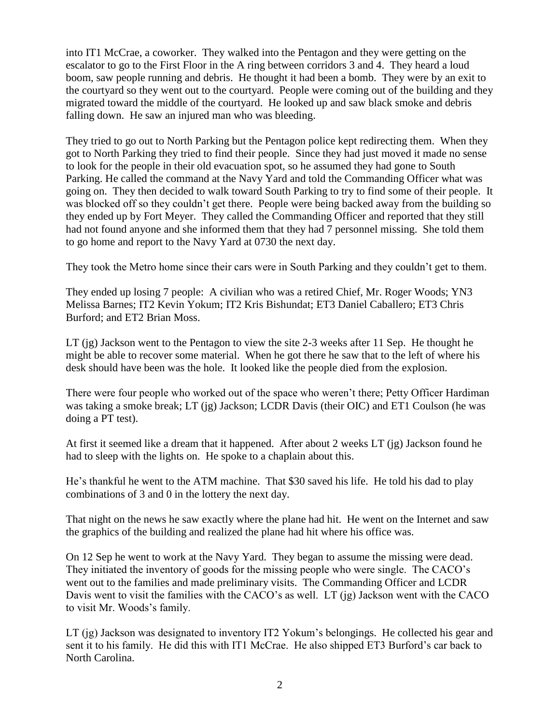into IT1 McCrae, a coworker. They walked into the Pentagon and they were getting on the escalator to go to the First Floor in the A ring between corridors 3 and 4. They heard a loud boom, saw people running and debris. He thought it had been a bomb. They were by an exit to the courtyard so they went out to the courtyard. People were coming out of the building and they migrated toward the middle of the courtyard. He looked up and saw black smoke and debris falling down. He saw an injured man who was bleeding.

They tried to go out to North Parking but the Pentagon police kept redirecting them. When they got to North Parking they tried to find their people. Since they had just moved it made no sense to look for the people in their old evacuation spot, so he assumed they had gone to South Parking. He called the command at the Navy Yard and told the Commanding Officer what was going on. They then decided to walk toward South Parking to try to find some of their people. It was blocked off so they couldn't get there. People were being backed away from the building so they ended up by Fort Meyer. They called the Commanding Officer and reported that they still had not found anyone and she informed them that they had 7 personnel missing. She told them to go home and report to the Navy Yard at 0730 the next day.

They took the Metro home since their cars were in South Parking and they couldn't get to them.

They ended up losing 7 people: A civilian who was a retired Chief, Mr. Roger Woods; YN3 Melissa Barnes; IT2 Kevin Yokum; IT2 Kris Bishundat; ET3 Daniel Caballero; ET3 Chris Burford; and ET2 Brian Moss.

LT (jg) Jackson went to the Pentagon to view the site 2-3 weeks after 11 Sep. He thought he might be able to recover some material. When he got there he saw that to the left of where his desk should have been was the hole. It looked like the people died from the explosion.

There were four people who worked out of the space who weren't there; Petty Officer Hardiman was taking a smoke break; LT (jg) Jackson; LCDR Davis (their OIC) and ET1 Coulson (he was doing a PT test).

At first it seemed like a dream that it happened. After about 2 weeks LT (jg) Jackson found he had to sleep with the lights on. He spoke to a chaplain about this.

He's thankful he went to the ATM machine. That \$30 saved his life. He told his dad to play combinations of 3 and 0 in the lottery the next day.

That night on the news he saw exactly where the plane had hit. He went on the Internet and saw the graphics of the building and realized the plane had hit where his office was.

On 12 Sep he went to work at the Navy Yard. They began to assume the missing were dead. They initiated the inventory of goods for the missing people who were single. The CACO's went out to the families and made preliminary visits. The Commanding Officer and LCDR Davis went to visit the families with the CACO's as well. LT (jg) Jackson went with the CACO to visit Mr. Woods's family.

LT (jg) Jackson was designated to inventory IT2 Yokum's belongings. He collected his gear and sent it to his family. He did this with IT1 McCrae. He also shipped ET3 Burford's car back to North Carolina.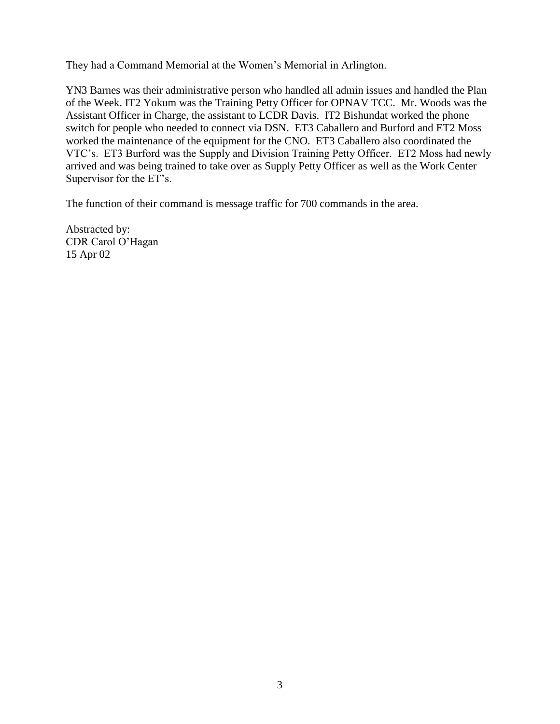They had a Command Memorial at the Women's Memorial in Arlington.

YN3 Barnes was their administrative person who handled all admin issues and handled the Plan of the Week. IT2 Yokum was the Training Petty Officer for OPNAV TCC. Mr. Woods was the Assistant Officer in Charge, the assistant to LCDR Davis. IT2 Bishundat worked the phone switch for people who needed to connect via DSN. ET3 Caballero and Burford and ET2 Moss worked the maintenance of the equipment for the CNO. ET3 Caballero also coordinated the VTC's. ET3 Burford was the Supply and Division Training Petty Officer. ET2 Moss had newly arrived and was being trained to take over as Supply Petty Officer as well as the Work Center Supervisor for the ET's.

The function of their command is message traffic for 700 commands in the area.

Abstracted by: CDR Carol O'Hagan 15 Apr 02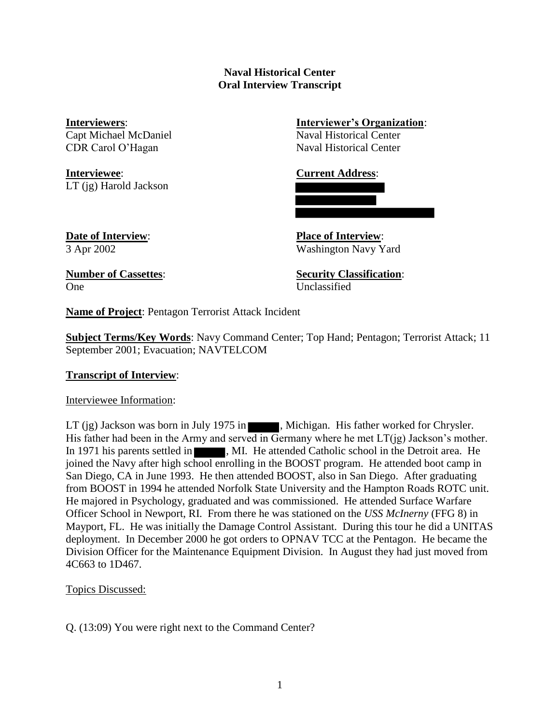## **Naval Historical Center Oral Interview Transcript**

Capt Michael McDaniel Naval Historical Center CDR Carol O'Hagan Naval Historical Center

**Interviewee**: **Current Address**: LT (jg) Harold Jackson

# **Interviewers**: **Interviewer's Organization**:

**Date of Interview**: **Place of Interview**: 3 Apr 2002 Washington Navy Yard

One Unclassified

**Number of Cassettes**: **Security Classification**:

**Name of Project**: Pentagon Terrorist Attack Incident

**Subject Terms/Key Words**: Navy Command Center; Top Hand; Pentagon; Terrorist Attack; 11 September 2001; Evacuation; NAVTELCOM

# **Transcript of Interview**:

Interviewee Information:

LT (jg) Jackson was born in July 1975 in  $\blacksquare$ , Michigan. His father worked for Chrysler. His father had been in the Army and served in Germany where he met  $LT(ig)$  Jackson's mother. In 1971 his parents settled in , MI. He attended Catholic school in the Detroit area. He joined the Navy after high school enrolling in the BOOST program. He attended boot camp in San Diego, CA in June 1993. He then attended BOOST, also in San Diego. After graduating from BOOST in 1994 he attended Norfolk State University and the Hampton Roads ROTC unit. He majored in Psychology, graduated and was commissioned. He attended Surface Warfare Officer School in Newport, RI. From there he was stationed on the *USS McInerny* (FFG 8) in Mayport, FL. He was initially the Damage Control Assistant. During this tour he did a UNITAS deployment. In December 2000 he got orders to OPNAV TCC at the Pentagon. He became the Division Officer for the Maintenance Equipment Division. In August they had just moved from 4C663 to 1D467.

Topics Discussed:

Q. (13:09) You were right next to the Command Center?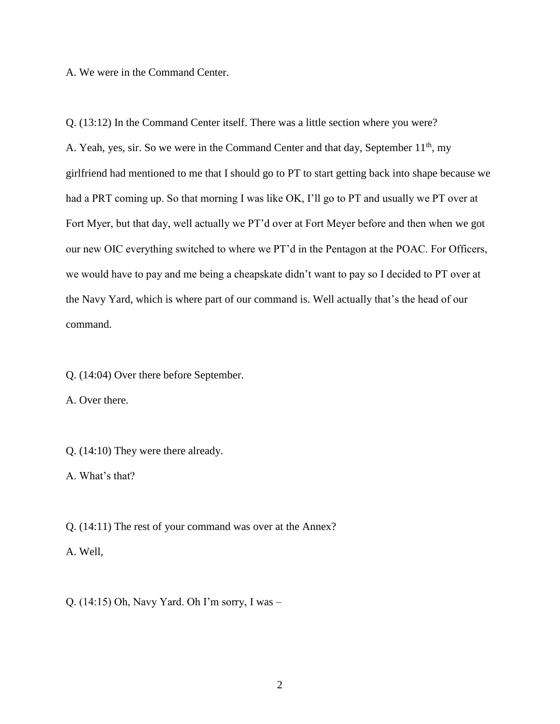A. We were in the Command Center.

Q. (13:12) In the Command Center itself. There was a little section where you were? A. Yeah, yes, sir. So we were in the Command Center and that day, September 11<sup>th</sup>, my girlfriend had mentioned to me that I should go to PT to start getting back into shape because we had a PRT coming up. So that morning I was like OK, I'll go to PT and usually we PT over at Fort Myer, but that day, well actually we PT'd over at Fort Meyer before and then when we got our new OIC everything switched to where we PT'd in the Pentagon at the POAC. For Officers, we would have to pay and me being a cheapskate didn't want to pay so I decided to PT over at the Navy Yard, which is where part of our command is. Well actually that's the head of our command.

Q. (14:04) Over there before September.

A. Over there.

Q. (14:10) They were there already.

A. What's that?

Q. (14:11) The rest of your command was over at the Annex?

A. Well,

Q. (14:15) Oh, Navy Yard. Oh I'm sorry, I was –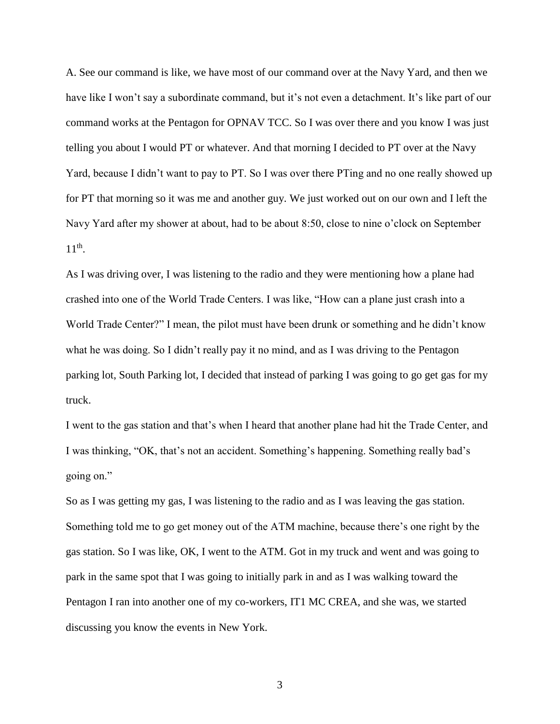A. See our command is like, we have most of our command over at the Navy Yard, and then we have like I won't say a subordinate command, but it's not even a detachment. It's like part of our command works at the Pentagon for OPNAV TCC. So I was over there and you know I was just telling you about I would PT or whatever. And that morning I decided to PT over at the Navy Yard, because I didn't want to pay to PT. So I was over there PTing and no one really showed up for PT that morning so it was me and another guy. We just worked out on our own and I left the Navy Yard after my shower at about, had to be about 8:50, close to nine o'clock on September  $11^{\text{th}}$ .

As I was driving over, I was listening to the radio and they were mentioning how a plane had crashed into one of the World Trade Centers. I was like, "How can a plane just crash into a World Trade Center?" I mean, the pilot must have been drunk or something and he didn't know what he was doing. So I didn't really pay it no mind, and as I was driving to the Pentagon parking lot, South Parking lot, I decided that instead of parking I was going to go get gas for my truck.

I went to the gas station and that's when I heard that another plane had hit the Trade Center, and I was thinking, "OK, that's not an accident. Something's happening. Something really bad's going on."

So as I was getting my gas, I was listening to the radio and as I was leaving the gas station. Something told me to go get money out of the ATM machine, because there's one right by the gas station. So I was like, OK, I went to the ATM. Got in my truck and went and was going to park in the same spot that I was going to initially park in and as I was walking toward the Pentagon I ran into another one of my co-workers, IT1 MC CREA, and she was, we started discussing you know the events in New York.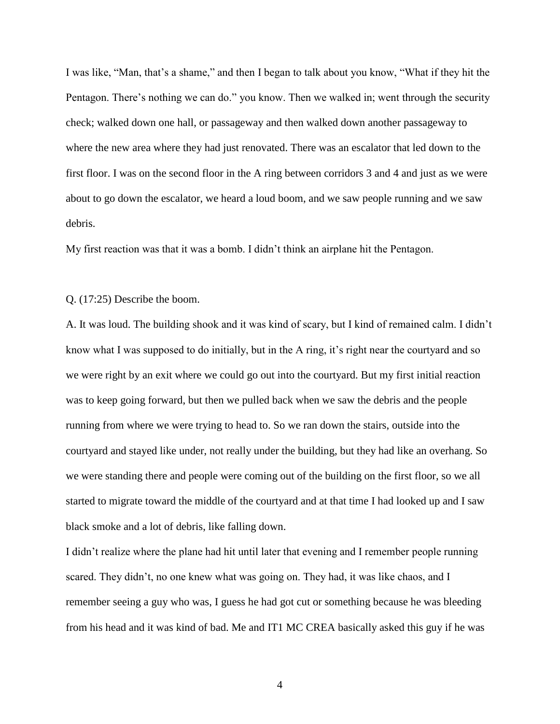I was like, "Man, that's a shame," and then I began to talk about you know, "What if they hit the Pentagon. There's nothing we can do." you know. Then we walked in; went through the security check; walked down one hall, or passageway and then walked down another passageway to where the new area where they had just renovated. There was an escalator that led down to the first floor. I was on the second floor in the A ring between corridors 3 and 4 and just as we were about to go down the escalator, we heard a loud boom, and we saw people running and we saw debris.

My first reaction was that it was a bomb. I didn't think an airplane hit the Pentagon.

## Q. (17:25) Describe the boom.

A. It was loud. The building shook and it was kind of scary, but I kind of remained calm. I didn't know what I was supposed to do initially, but in the A ring, it's right near the courtyard and so we were right by an exit where we could go out into the courtyard. But my first initial reaction was to keep going forward, but then we pulled back when we saw the debris and the people running from where we were trying to head to. So we ran down the stairs, outside into the courtyard and stayed like under, not really under the building, but they had like an overhang. So we were standing there and people were coming out of the building on the first floor, so we all started to migrate toward the middle of the courtyard and at that time I had looked up and I saw black smoke and a lot of debris, like falling down.

I didn't realize where the plane had hit until later that evening and I remember people running scared. They didn't, no one knew what was going on. They had, it was like chaos, and I remember seeing a guy who was, I guess he had got cut or something because he was bleeding from his head and it was kind of bad. Me and IT1 MC CREA basically asked this guy if he was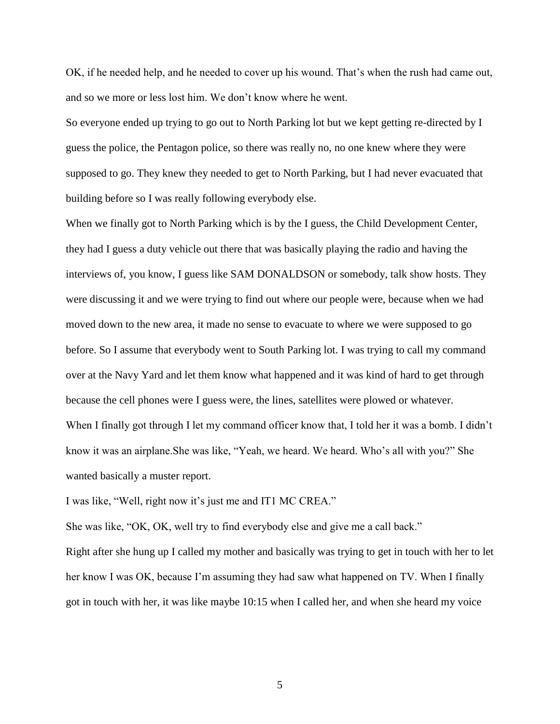OK, if he needed help, and he needed to cover up his wound. That's when the rush had came out, and so we more or less lost him. We don't know where he went.

So everyone ended up trying to go out to North Parking lot but we kept getting re-directed by I guess the police, the Pentagon police, so there was really no, no one knew where they were supposed to go. They knew they needed to get to North Parking, but I had never evacuated that building before so I was really following everybody else.

When we finally got to North Parking which is by the I guess, the Child Development Center, they had I guess a duty vehicle out there that was basically playing the radio and having the interviews of, you know, I guess like SAM DONALDSON or somebody, talk show hosts. They were discussing it and we were trying to find out where our people were, because when we had moved down to the new area, it made no sense to evacuate to where we were supposed to go before. So I assume that everybody went to South Parking lot. I was trying to call my command over at the Navy Yard and let them know what happened and it was kind of hard to get through because the cell phones were I guess were, the lines, satellites were plowed or whatever. When I finally got through I let my command officer know that, I told her it was a bomb. I didn't know it was an airplane.She was like, "Yeah, we heard. We heard. Who's all with you?" She wanted basically a muster report.

I was like, "Well, right now it's just me and IT1 MC CREA."

She was like, "OK, OK, well try to find everybody else and give me a call back."

Right after she hung up I called my mother and basically was trying to get in touch with her to let her know I was OK, because I'm assuming they had saw what happened on TV. When I finally got in touch with her, it was like maybe 10:15 when I called her, and when she heard my voice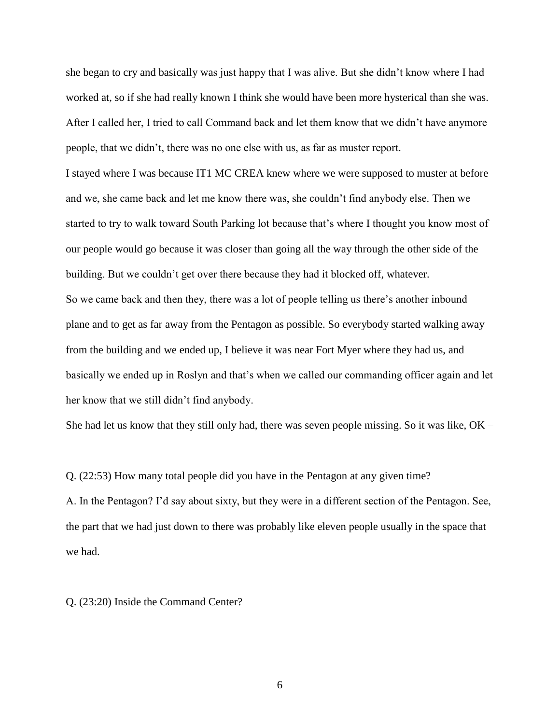she began to cry and basically was just happy that I was alive. But she didn't know where I had worked at, so if she had really known I think she would have been more hysterical than she was. After I called her, I tried to call Command back and let them know that we didn't have anymore people, that we didn't, there was no one else with us, as far as muster report.

I stayed where I was because IT1 MC CREA knew where we were supposed to muster at before and we, she came back and let me know there was, she couldn't find anybody else. Then we started to try to walk toward South Parking lot because that's where I thought you know most of our people would go because it was closer than going all the way through the other side of the building. But we couldn't get over there because they had it blocked off, whatever. So we came back and then they, there was a lot of people telling us there's another inbound plane and to get as far away from the Pentagon as possible. So everybody started walking away from the building and we ended up, I believe it was near Fort Myer where they had us, and basically we ended up in Roslyn and that's when we called our commanding officer again and let her know that we still didn't find anybody.

She had let us know that they still only had, there was seven people missing. So it was like, OK –

Q. (22:53) How many total people did you have in the Pentagon at any given time?

A. In the Pentagon? I'd say about sixty, but they were in a different section of the Pentagon. See, the part that we had just down to there was probably like eleven people usually in the space that we had.

Q. (23:20) Inside the Command Center?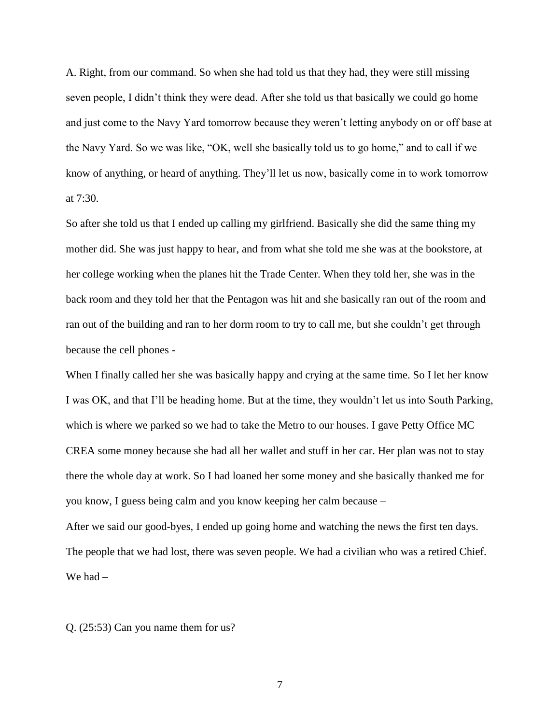A. Right, from our command. So when she had told us that they had, they were still missing seven people, I didn't think they were dead. After she told us that basically we could go home and just come to the Navy Yard tomorrow because they weren't letting anybody on or off base at the Navy Yard. So we was like, "OK, well she basically told us to go home," and to call if we know of anything, or heard of anything. They'll let us now, basically come in to work tomorrow at 7:30.

So after she told us that I ended up calling my girlfriend. Basically she did the same thing my mother did. She was just happy to hear, and from what she told me she was at the bookstore, at her college working when the planes hit the Trade Center. When they told her, she was in the back room and they told her that the Pentagon was hit and she basically ran out of the room and ran out of the building and ran to her dorm room to try to call me, but she couldn't get through because the cell phones -

When I finally called her she was basically happy and crying at the same time. So I let her know I was OK, and that I'll be heading home. But at the time, they wouldn't let us into South Parking, which is where we parked so we had to take the Metro to our houses. I gave Petty Office MC CREA some money because she had all her wallet and stuff in her car. Her plan was not to stay there the whole day at work. So I had loaned her some money and she basically thanked me for you know, I guess being calm and you know keeping her calm because –

After we said our good-byes, I ended up going home and watching the news the first ten days. The people that we had lost, there was seven people. We had a civilian who was a retired Chief. We had –

Q. (25:53) Can you name them for us?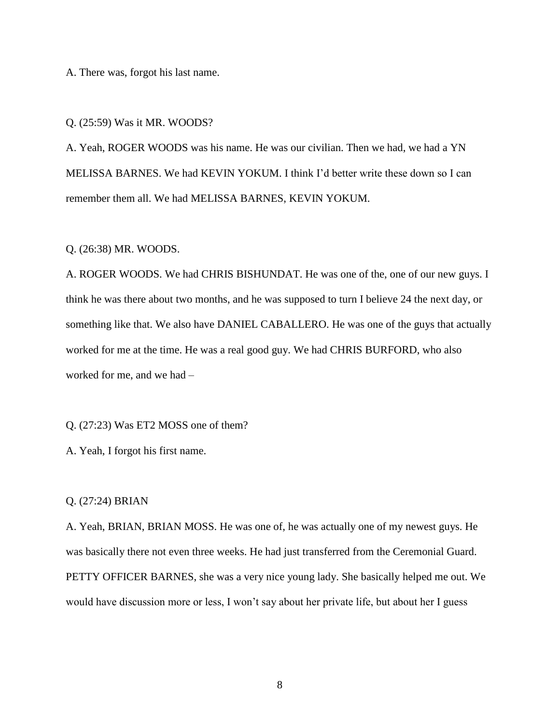A. There was, forgot his last name.

Q. (25:59) Was it MR. WOODS?

A. Yeah, ROGER WOODS was his name. He was our civilian. Then we had, we had a YN MELISSA BARNES. We had KEVIN YOKUM. I think I'd better write these down so I can remember them all. We had MELISSA BARNES, KEVIN YOKUM.

Q. (26:38) MR. WOODS.

A. ROGER WOODS. We had CHRIS BISHUNDAT. He was one of the, one of our new guys. I think he was there about two months, and he was supposed to turn I believe 24 the next day, or something like that. We also have DANIEL CABALLERO. He was one of the guys that actually worked for me at the time. He was a real good guy. We had CHRIS BURFORD, who also worked for me, and we had –

Q. (27:23) Was ET2 MOSS one of them?

A. Yeah, I forgot his first name.

#### Q. (27:24) BRIAN

A. Yeah, BRIAN, BRIAN MOSS. He was one of, he was actually one of my newest guys. He was basically there not even three weeks. He had just transferred from the Ceremonial Guard. PETTY OFFICER BARNES, she was a very nice young lady. She basically helped me out. We would have discussion more or less, I won't say about her private life, but about her I guess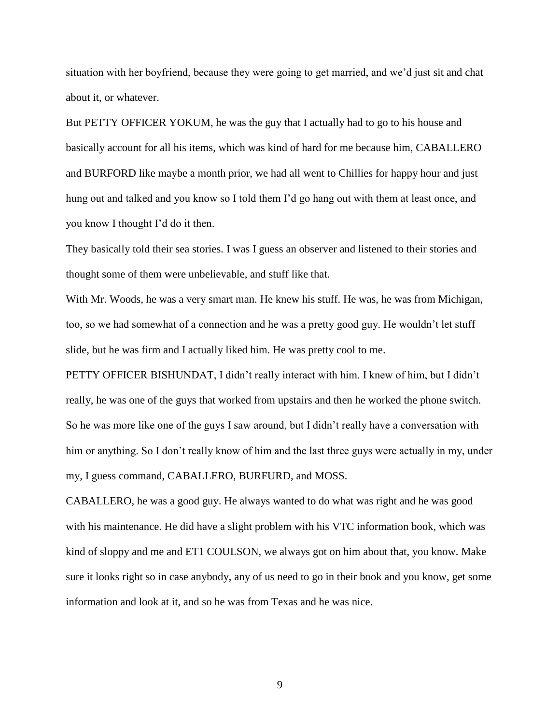situation with her boyfriend, because they were going to get married, and we'd just sit and chat about it, or whatever.

But PETTY OFFICER YOKUM, he was the guy that I actually had to go to his house and basically account for all his items, which was kind of hard for me because him, CABALLERO and BURFORD like maybe a month prior, we had all went to Chillies for happy hour and just hung out and talked and you know so I told them I'd go hang out with them at least once, and you know I thought I'd do it then.

They basically told their sea stories. I was I guess an observer and listened to their stories and thought some of them were unbelievable, and stuff like that.

With Mr. Woods, he was a very smart man. He knew his stuff. He was, he was from Michigan, too, so we had somewhat of a connection and he was a pretty good guy. He wouldn't let stuff slide, but he was firm and I actually liked him. He was pretty cool to me.

PETTY OFFICER BISHUNDAT, I didn't really interact with him. I knew of him, but I didn't really, he was one of the guys that worked from upstairs and then he worked the phone switch. So he was more like one of the guys I saw around, but I didn't really have a conversation with him or anything. So I don't really know of him and the last three guys were actually in my, under my, I guess command, CABALLERO, BURFURD, and MOSS.

CABALLERO, he was a good guy. He always wanted to do what was right and he was good with his maintenance. He did have a slight problem with his VTC information book, which was kind of sloppy and me and ET1 COULSON, we always got on him about that, you know. Make sure it looks right so in case anybody, any of us need to go in their book and you know, get some information and look at it, and so he was from Texas and he was nice.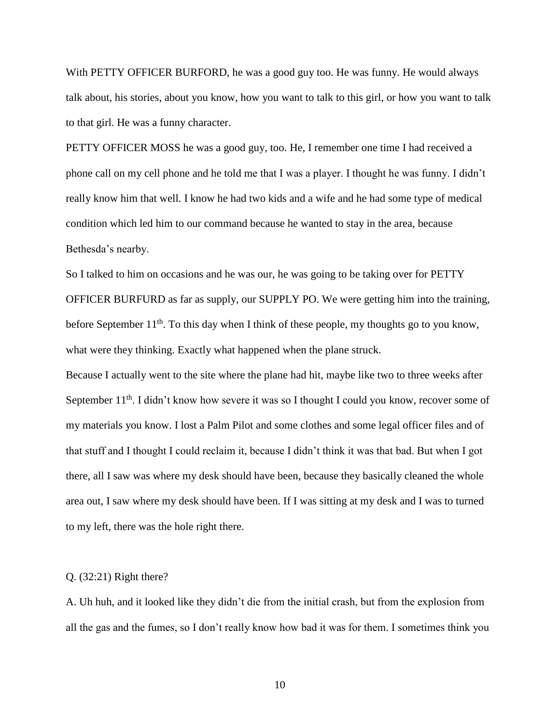With PETTY OFFICER BURFORD, he was a good guy too. He was funny. He would always talk about, his stories, about you know, how you want to talk to this girl, or how you want to talk to that girl. He was a funny character.

PETTY OFFICER MOSS he was a good guy, too. He, I remember one time I had received a phone call on my cell phone and he told me that I was a player. I thought he was funny. I didn't really know him that well. I know he had two kids and a wife and he had some type of medical condition which led him to our command because he wanted to stay in the area, because Bethesda's nearby.

So I talked to him on occasions and he was our, he was going to be taking over for PETTY OFFICER BURFURD as far as supply, our SUPPLY PO. We were getting him into the training, before September  $11<sup>th</sup>$ . To this day when I think of these people, my thoughts go to you know, what were they thinking. Exactly what happened when the plane struck.

Because I actually went to the site where the plane had hit, maybe like two to three weeks after September 11<sup>th</sup>. I didn't know how severe it was so I thought I could you know, recover some of my materials you know. I lost a Palm Pilot and some clothes and some legal officer files and of that stuff and I thought I could reclaim it, because I didn't think it was that bad. But when I got there, all I saw was where my desk should have been, because they basically cleaned the whole area out, I saw where my desk should have been. If I was sitting at my desk and I was to turned to my left, there was the hole right there.

#### Q. (32:21) Right there?

A. Uh huh, and it looked like they didn't die from the initial crash, but from the explosion from all the gas and the fumes, so I don't really know how bad it was for them. I sometimes think you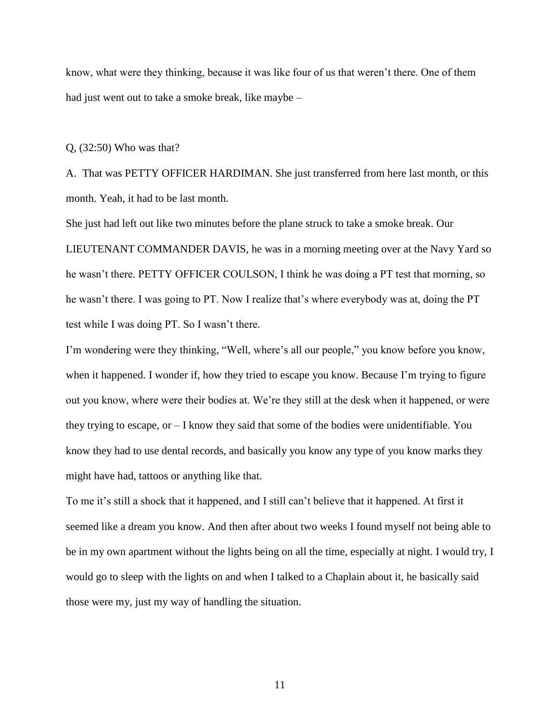know, what were they thinking, because it was like four of us that weren't there. One of them had just went out to take a smoke break, like maybe –

Q, (32:50) Who was that?

A. That was PETTY OFFICER HARDIMAN. She just transferred from here last month, or this month. Yeah, it had to be last month.

She just had left out like two minutes before the plane struck to take a smoke break. Our LIEUTENANT COMMANDER DAVIS, he was in a morning meeting over at the Navy Yard so he wasn't there. PETTY OFFICER COULSON, I think he was doing a PT test that morning, so he wasn't there. I was going to PT. Now I realize that's where everybody was at, doing the PT test while I was doing PT. So I wasn't there.

I'm wondering were they thinking, "Well, where's all our people," you know before you know, when it happened. I wonder if, how they tried to escape you know. Because I'm trying to figure out you know, where were their bodies at. We're they still at the desk when it happened, or were they trying to escape, or – I know they said that some of the bodies were unidentifiable. You know they had to use dental records, and basically you know any type of you know marks they might have had, tattoos or anything like that.

To me it's still a shock that it happened, and I still can't believe that it happened. At first it seemed like a dream you know. And then after about two weeks I found myself not being able to be in my own apartment without the lights being on all the time, especially at night. I would try, I would go to sleep with the lights on and when I talked to a Chaplain about it, he basically said those were my, just my way of handling the situation.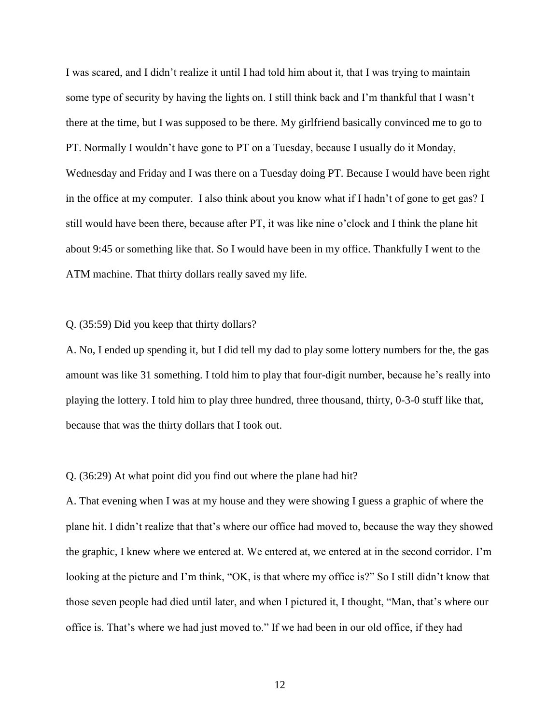I was scared, and I didn't realize it until I had told him about it, that I was trying to maintain some type of security by having the lights on. I still think back and I'm thankful that I wasn't there at the time, but I was supposed to be there. My girlfriend basically convinced me to go to PT. Normally I wouldn't have gone to PT on a Tuesday, because I usually do it Monday, Wednesday and Friday and I was there on a Tuesday doing PT. Because I would have been right in the office at my computer. I also think about you know what if I hadn't of gone to get gas? I still would have been there, because after PT, it was like nine o'clock and I think the plane hit about 9:45 or something like that. So I would have been in my office. Thankfully I went to the ATM machine. That thirty dollars really saved my life.

### Q. (35:59) Did you keep that thirty dollars?

A. No, I ended up spending it, but I did tell my dad to play some lottery numbers for the, the gas amount was like 31 something. I told him to play that four-digit number, because he's really into playing the lottery. I told him to play three hundred, three thousand, thirty, 0-3-0 stuff like that, because that was the thirty dollars that I took out.

#### Q. (36:29) At what point did you find out where the plane had hit?

A. That evening when I was at my house and they were showing I guess a graphic of where the plane hit. I didn't realize that that's where our office had moved to, because the way they showed the graphic, I knew where we entered at. We entered at, we entered at in the second corridor. I'm looking at the picture and I'm think, "OK, is that where my office is?" So I still didn't know that those seven people had died until later, and when I pictured it, I thought, "Man, that's where our office is. That's where we had just moved to." If we had been in our old office, if they had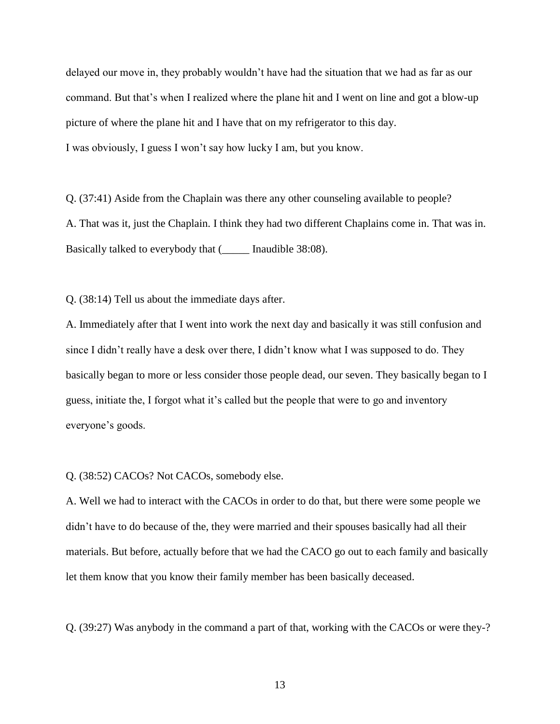delayed our move in, they probably wouldn't have had the situation that we had as far as our command. But that's when I realized where the plane hit and I went on line and got a blow-up picture of where the plane hit and I have that on my refrigerator to this day. I was obviously, I guess I won't say how lucky I am, but you know.

Q. (37:41) Aside from the Chaplain was there any other counseling available to people? A. That was it, just the Chaplain. I think they had two different Chaplains come in. That was in. Basically talked to everybody that (\_\_\_\_\_ Inaudible 38:08).

Q. (38:14) Tell us about the immediate days after.

A. Immediately after that I went into work the next day and basically it was still confusion and since I didn't really have a desk over there, I didn't know what I was supposed to do. They basically began to more or less consider those people dead, our seven. They basically began to I guess, initiate the, I forgot what it's called but the people that were to go and inventory everyone's goods.

Q. (38:52) CACOs? Not CACOs, somebody else.

A. Well we had to interact with the CACOs in order to do that, but there were some people we didn't have to do because of the, they were married and their spouses basically had all their materials. But before, actually before that we had the CACO go out to each family and basically let them know that you know their family member has been basically deceased.

Q. (39:27) Was anybody in the command a part of that, working with the CACOs or were they-?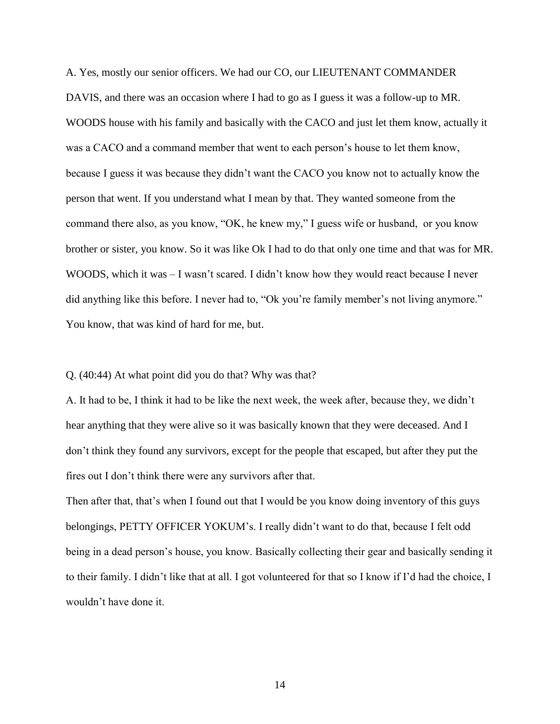A. Yes, mostly our senior officers. We had our CO, our LIEUTENANT COMMANDER DAVIS, and there was an occasion where I had to go as I guess it was a follow-up to MR. WOODS house with his family and basically with the CACO and just let them know, actually it was a CACO and a command member that went to each person's house to let them know, because I guess it was because they didn't want the CACO you know not to actually know the person that went. If you understand what I mean by that. They wanted someone from the command there also, as you know, "OK, he knew my," I guess wife or husband, or you know brother or sister, you know. So it was like Ok I had to do that only one time and that was for MR. WOODS, which it was – I wasn't scared. I didn't know how they would react because I never did anything like this before. I never had to, "Ok you're family member's not living anymore." You know, that was kind of hard for me, but.

### Q. (40:44) At what point did you do that? Why was that?

A. It had to be, I think it had to be like the next week, the week after, because they, we didn't hear anything that they were alive so it was basically known that they were deceased. And I don't think they found any survivors, except for the people that escaped, but after they put the fires out I don't think there were any survivors after that.

Then after that, that's when I found out that I would be you know doing inventory of this guys belongings, PETTY OFFICER YOKUM's. I really didn't want to do that, because I felt odd being in a dead person's house, you know. Basically collecting their gear and basically sending it to their family. I didn't like that at all. I got volunteered for that so I know if I'd had the choice, I wouldn't have done it.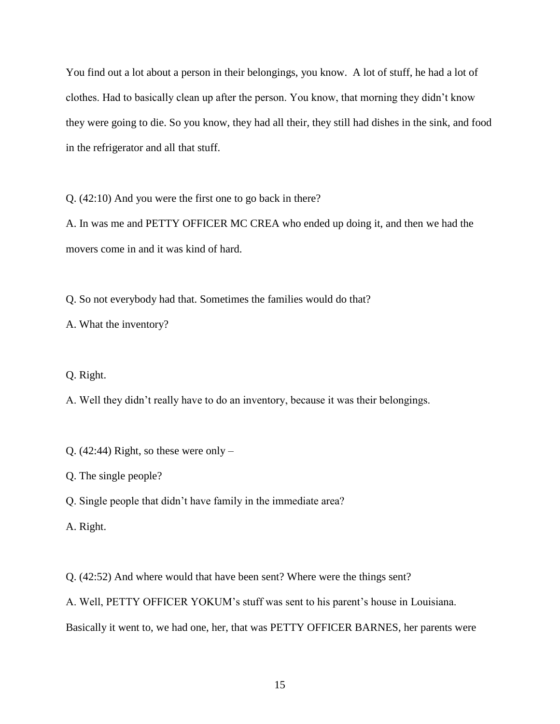You find out a lot about a person in their belongings, you know. A lot of stuff, he had a lot of clothes. Had to basically clean up after the person. You know, that morning they didn't know they were going to die. So you know, they had all their, they still had dishes in the sink, and food in the refrigerator and all that stuff.

Q. (42:10) And you were the first one to go back in there?

A. In was me and PETTY OFFICER MC CREA who ended up doing it, and then we had the movers come in and it was kind of hard.

Q. So not everybody had that. Sometimes the families would do that?

A. What the inventory?

Q. Right.

A. Well they didn't really have to do an inventory, because it was their belongings.

Q. (42:44) Right, so these were only  $-$ 

Q. The single people?

Q. Single people that didn't have family in the immediate area?

A. Right.

Q. (42:52) And where would that have been sent? Where were the things sent?

A. Well, PETTY OFFICER YOKUM's stuff was sent to his parent's house in Louisiana.

Basically it went to, we had one, her, that was PETTY OFFICER BARNES, her parents were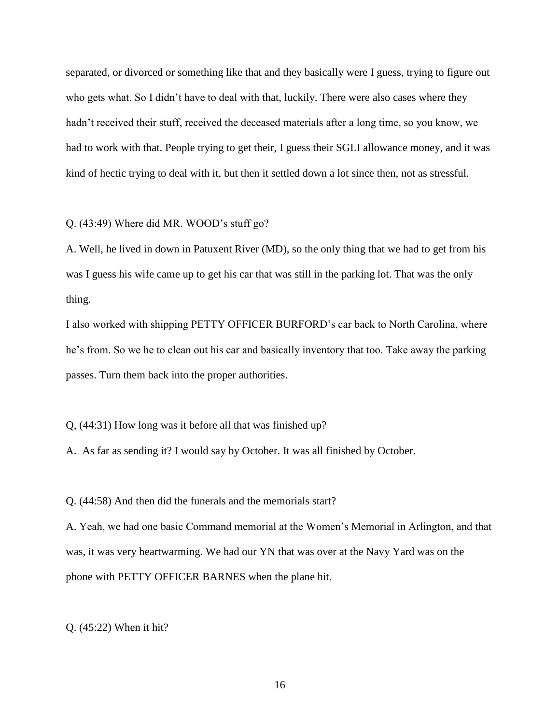separated, or divorced or something like that and they basically were I guess, trying to figure out who gets what. So I didn't have to deal with that, luckily. There were also cases where they hadn't received their stuff, received the deceased materials after a long time, so you know, we had to work with that. People trying to get their, I guess their SGLI allowance money, and it was kind of hectic trying to deal with it, but then it settled down a lot since then, not as stressful.

### Q. (43:49) Where did MR. WOOD's stuff go?

A. Well, he lived in down in Patuxent River (MD), so the only thing that we had to get from his was I guess his wife came up to get his car that was still in the parking lot. That was the only thing.

I also worked with shipping PETTY OFFICER BURFORD's car back to North Carolina, where he's from. So we he to clean out his car and basically inventory that too. Take away the parking passes. Turn them back into the proper authorities.

Q, (44:31) How long was it before all that was finished up?

A. As far as sending it? I would say by October. It was all finished by October.

Q. (44:58) And then did the funerals and the memorials start?

A. Yeah, we had one basic Command memorial at the Women's Memorial in Arlington, and that was, it was very heartwarming. We had our YN that was over at the Navy Yard was on the phone with PETTY OFFICER BARNES when the plane hit.

Q. (45:22) When it hit?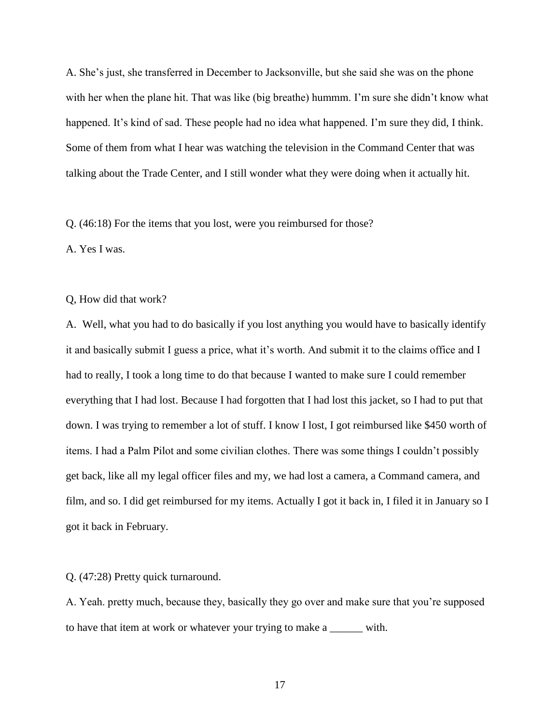A. She's just, she transferred in December to Jacksonville, but she said she was on the phone with her when the plane hit. That was like (big breathe) hummm. I'm sure she didn't know what happened. It's kind of sad. These people had no idea what happened. I'm sure they did, I think. Some of them from what I hear was watching the television in the Command Center that was talking about the Trade Center, and I still wonder what they were doing when it actually hit.

Q. (46:18) For the items that you lost, were you reimbursed for those?

A. Yes I was.

Q, How did that work?

A. Well, what you had to do basically if you lost anything you would have to basically identify it and basically submit I guess a price, what it's worth. And submit it to the claims office and I had to really, I took a long time to do that because I wanted to make sure I could remember everything that I had lost. Because I had forgotten that I had lost this jacket, so I had to put that down. I was trying to remember a lot of stuff. I know I lost, I got reimbursed like \$450 worth of items. I had a Palm Pilot and some civilian clothes. There was some things I couldn't possibly get back, like all my legal officer files and my, we had lost a camera, a Command camera, and film, and so. I did get reimbursed for my items. Actually I got it back in, I filed it in January so I got it back in February.

Q. (47:28) Pretty quick turnaround.

A. Yeah. pretty much, because they, basically they go over and make sure that you're supposed to have that item at work or whatever your trying to make a \_\_\_\_\_\_ with.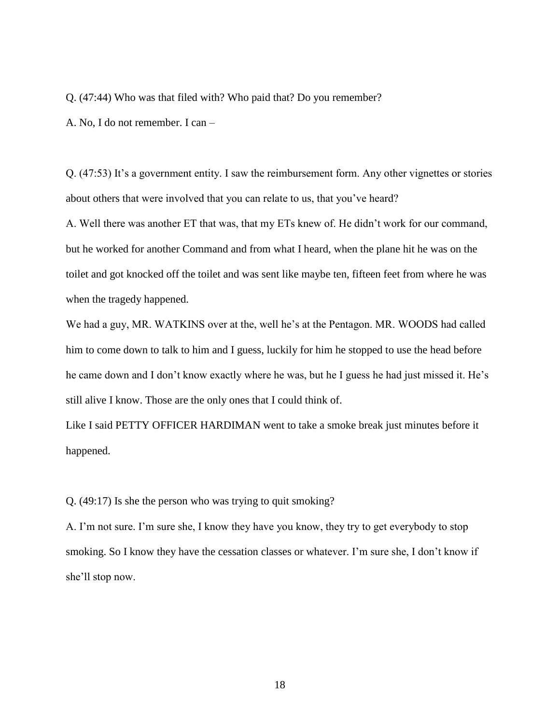Q. (47:44) Who was that filed with? Who paid that? Do you remember?

A. No, I do not remember. I can –

Q. (47:53) It's a government entity. I saw the reimbursement form. Any other vignettes or stories about others that were involved that you can relate to us, that you've heard?

A. Well there was another ET that was, that my ETs knew of. He didn't work for our command, but he worked for another Command and from what I heard, when the plane hit he was on the toilet and got knocked off the toilet and was sent like maybe ten, fifteen feet from where he was when the tragedy happened.

We had a guy, MR. WATKINS over at the, well he's at the Pentagon. MR. WOODS had called him to come down to talk to him and I guess, luckily for him he stopped to use the head before he came down and I don't know exactly where he was, but he I guess he had just missed it. He's still alive I know. Those are the only ones that I could think of.

Like I said PETTY OFFICER HARDIMAN went to take a smoke break just minutes before it happened.

Q. (49:17) Is she the person who was trying to quit smoking?

A. I'm not sure. I'm sure she, I know they have you know, they try to get everybody to stop smoking. So I know they have the cessation classes or whatever. I'm sure she, I don't know if she'll stop now.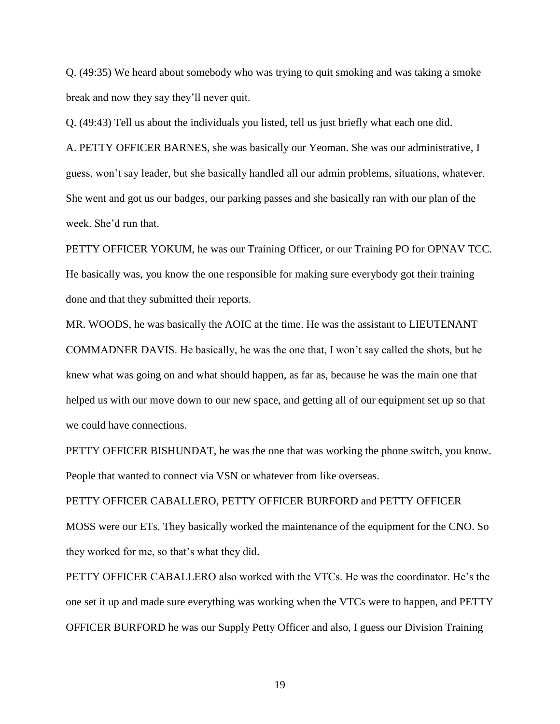Q. (49:35) We heard about somebody who was trying to quit smoking and was taking a smoke break and now they say they'll never quit.

Q. (49:43) Tell us about the individuals you listed, tell us just briefly what each one did.

A. PETTY OFFICER BARNES, she was basically our Yeoman. She was our administrative, I guess, won't say leader, but she basically handled all our admin problems, situations, whatever. She went and got us our badges, our parking passes and she basically ran with our plan of the week. She'd run that.

PETTY OFFICER YOKUM, he was our Training Officer, or our Training PO for OPNAV TCC. He basically was, you know the one responsible for making sure everybody got their training done and that they submitted their reports.

MR. WOODS, he was basically the AOIC at the time. He was the assistant to LIEUTENANT COMMADNER DAVIS. He basically, he was the one that, I won't say called the shots, but he knew what was going on and what should happen, as far as, because he was the main one that helped us with our move down to our new space, and getting all of our equipment set up so that we could have connections.

PETTY OFFICER BISHUNDAT, he was the one that was working the phone switch, you know. People that wanted to connect via VSN or whatever from like overseas.

PETTY OFFICER CABALLERO, PETTY OFFICER BURFORD and PETTY OFFICER MOSS were our ETs. They basically worked the maintenance of the equipment for the CNO. So they worked for me, so that's what they did.

PETTY OFFICER CABALLERO also worked with the VTCs. He was the coordinator. He's the one set it up and made sure everything was working when the VTCs were to happen, and PETTY OFFICER BURFORD he was our Supply Petty Officer and also, I guess our Division Training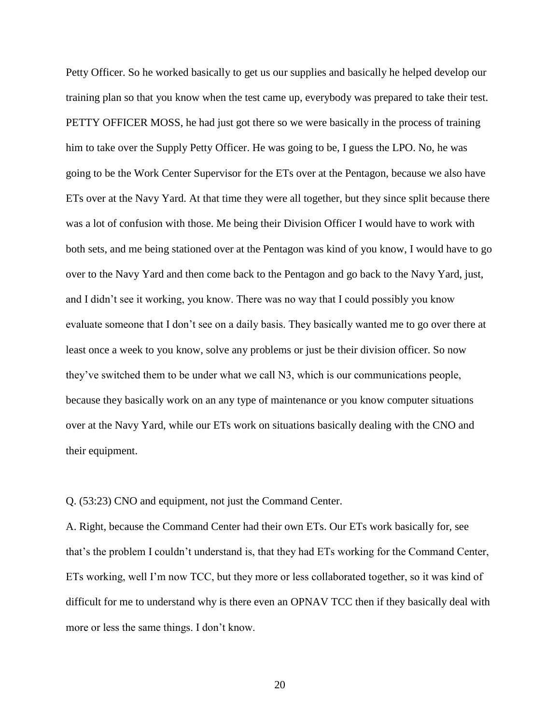Petty Officer. So he worked basically to get us our supplies and basically he helped develop our training plan so that you know when the test came up, everybody was prepared to take their test. PETTY OFFICER MOSS, he had just got there so we were basically in the process of training him to take over the Supply Petty Officer. He was going to be, I guess the LPO. No, he was going to be the Work Center Supervisor for the ETs over at the Pentagon, because we also have ETs over at the Navy Yard. At that time they were all together, but they since split because there was a lot of confusion with those. Me being their Division Officer I would have to work with both sets, and me being stationed over at the Pentagon was kind of you know, I would have to go over to the Navy Yard and then come back to the Pentagon and go back to the Navy Yard, just, and I didn't see it working, you know. There was no way that I could possibly you know evaluate someone that I don't see on a daily basis. They basically wanted me to go over there at least once a week to you know, solve any problems or just be their division officer. So now they've switched them to be under what we call N3, which is our communications people, because they basically work on an any type of maintenance or you know computer situations over at the Navy Yard, while our ETs work on situations basically dealing with the CNO and their equipment.

Q. (53:23) CNO and equipment, not just the Command Center.

A. Right, because the Command Center had their own ETs. Our ETs work basically for, see that's the problem I couldn't understand is, that they had ETs working for the Command Center, ETs working, well I'm now TCC, but they more or less collaborated together, so it was kind of difficult for me to understand why is there even an OPNAV TCC then if they basically deal with more or less the same things. I don't know.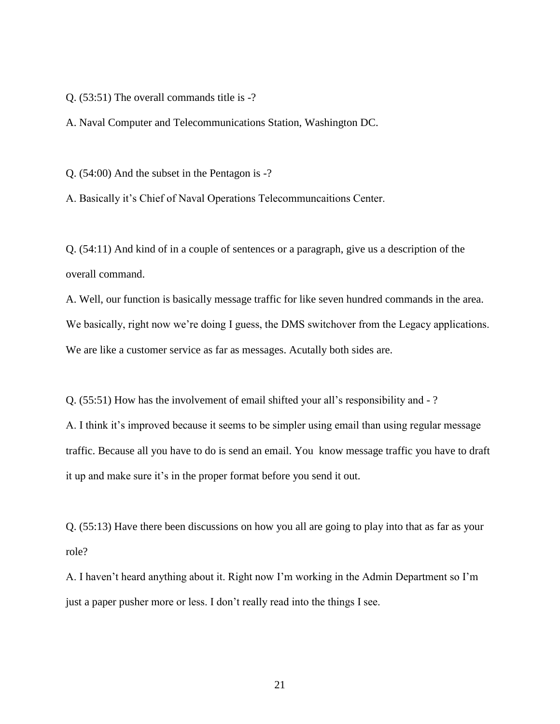Q. (53:51) The overall commands title is -?

A. Naval Computer and Telecommunications Station, Washington DC.

Q. (54:00) And the subset in the Pentagon is -?

A. Basically it's Chief of Naval Operations Telecommuncaitions Center.

Q. (54:11) And kind of in a couple of sentences or a paragraph, give us a description of the overall command.

A. Well, our function is basically message traffic for like seven hundred commands in the area. We basically, right now we're doing I guess, the DMS switchover from the Legacy applications. We are like a customer service as far as messages. Acutally both sides are.

Q. (55:51) How has the involvement of email shifted your all's responsibility and - ?

A. I think it's improved because it seems to be simpler using email than using regular message traffic. Because all you have to do is send an email. You know message traffic you have to draft it up and make sure it's in the proper format before you send it out.

Q. (55:13) Have there been discussions on how you all are going to play into that as far as your role?

A. I haven't heard anything about it. Right now I'm working in the Admin Department so I'm just a paper pusher more or less. I don't really read into the things I see.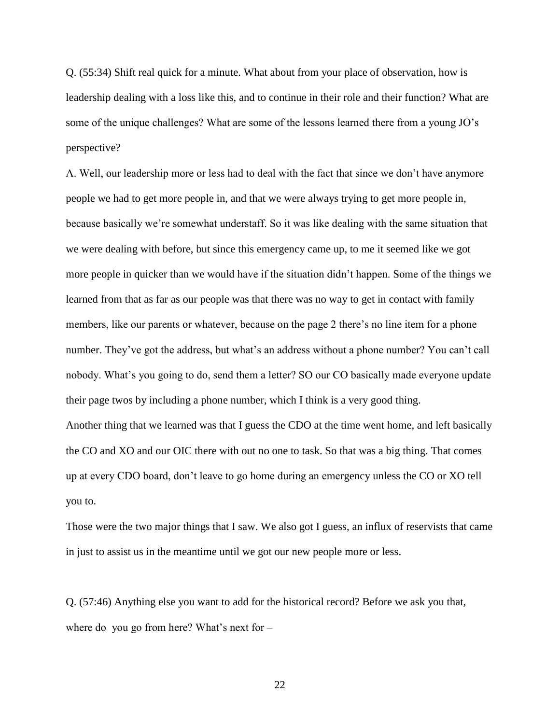Q. (55:34) Shift real quick for a minute. What about from your place of observation, how is leadership dealing with a loss like this, and to continue in their role and their function? What are some of the unique challenges? What are some of the lessons learned there from a young JO's perspective?

A. Well, our leadership more or less had to deal with the fact that since we don't have anymore people we had to get more people in, and that we were always trying to get more people in, because basically we're somewhat understaff. So it was like dealing with the same situation that we were dealing with before, but since this emergency came up, to me it seemed like we got more people in quicker than we would have if the situation didn't happen. Some of the things we learned from that as far as our people was that there was no way to get in contact with family members, like our parents or whatever, because on the page 2 there's no line item for a phone number. They've got the address, but what's an address without a phone number? You can't call nobody. What's you going to do, send them a letter? SO our CO basically made everyone update their page twos by including a phone number, which I think is a very good thing. Another thing that we learned was that I guess the CDO at the time went home, and left basically the CO and XO and our OIC there with out no one to task. So that was a big thing. That comes up at every CDO board, don't leave to go home during an emergency unless the CO or XO tell you to.

Those were the two major things that I saw. We also got I guess, an influx of reservists that came in just to assist us in the meantime until we got our new people more or less.

Q. (57:46) Anything else you want to add for the historical record? Before we ask you that, where do you go from here? What's next for –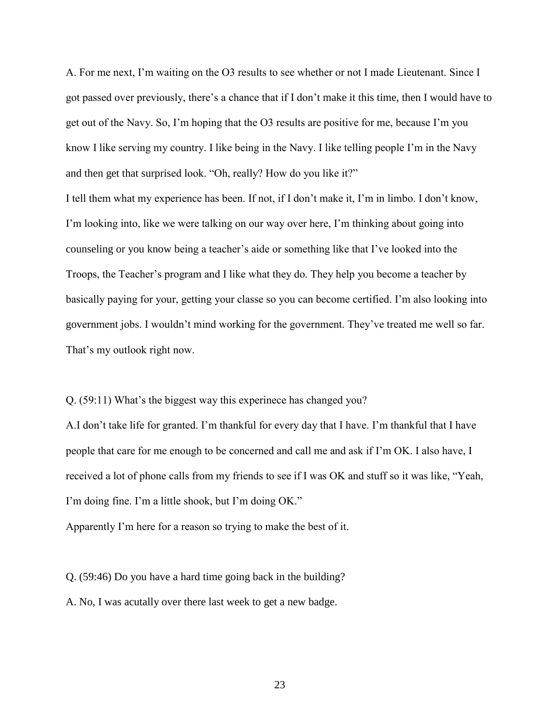A. For me next, I'm waiting on the O3 results to see whether or not I made Lieutenant. Since I got passed over previously, there's a chance that if I don't make it this time, then I would have to get out of the Navy. So, I'm hoping that the O3 results are positive for me, because I'm you know I like serving my country. I like being in the Navy. I like telling people I'm in the Navy and then get that surprised look. "Oh, really? How do you like it?"

I tell them what my experience has been. If not, if I don't make it, I'm in limbo. I don't know, I'm looking into, like we were talking on our way over here, I'm thinking about going into counseling or you know being a teacher's aide or something like that I've looked into the Troops, the Teacher's program and I like what they do. They help you become a teacher by basically paying for your, getting your classe so you can become certified. I'm also looking into government jobs. I wouldn't mind working for the government. They've treated me well so far. That's my outlook right now.

Q. (59:11) What's the biggest way this experinece has changed you?

A.I don't take life for granted. I'm thankful for every day that I have. I'm thankful that I have people that care for me enough to be concerned and call me and ask if I'm OK. I also have, I received a lot of phone calls from my friends to see if I was OK and stuff so it was like, "Yeah, I'm doing fine. I'm a little shook, but I'm doing OK."

Apparently I'm here for a reason so trying to make the best of it.

Q. (59:46) Do you have a hard time going back in the building?

A. No, I was acutally over there last week to get a new badge.